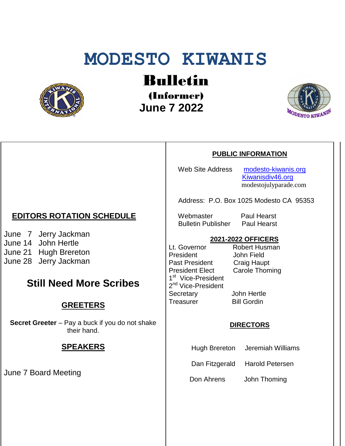# **MODESTO KIWANIS**



Bulletin

(Informer)  **June 7 2022**



#### **PUBLIC INFORMATION**

Web Site Address [modesto-kiwanis.org](http://modesto-kiwanis.org/)

 [Kiwanisdiv46.org](http://www.kiwanisdiv46.org/) modestojulyparade.com

Address: P.O. Box 1025 Modesto CA 95353

Webmaster Paul Hearst Bulletin Publisher Paul Hearst

#### **2021-2022 OFFICERS**

Lt. Governor Robert Husman President John Field Past President Craig Haupt President Elect Carole Thoming 1<sup>st</sup> Vice-President 2<sup>nd</sup> Vice-President Secretary John Hertle Treasurer Bill Gordin

#### **DIRECTORS**

Hugh Brereton Jeremiah Williams

Dan Fitzgerald Harold Petersen

Don Ahrens John Thoming

## **EDITORS ROTATION SCHEDULE**

June 7 Jerry Jackman June 14 John Hertle June 21 Hugh Brereton June 28 Jerry Jackman

## **Still Need More Scribes**

## **GREETERS**

**Secret Greeter** – Pay a buck if you do not shake their hand.

### **SPEAKERS**

June 7 Board Meeting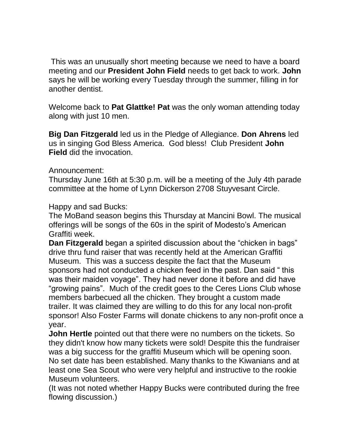This was an unusually short meeting because we need to have a board meeting and our **President John Field** needs to get back to work. **John**  says he will be working every Tuesday through the summer, filling in for another dentist.

Welcome back to **Pat Glattke! Pat** was the only woman attending today along with just 10 men.

**Big Dan Fitzgerald** led us in the Pledge of Allegiance. **Don Ahrens** led us in singing God Bless America. God bless! Club President **John Field** did the invocation.

Announcement:

Thursday June 16th at 5:30 p.m. will be a meeting of the July 4th parade committee at the home of Lynn Dickerson 2708 Stuyvesant Circle.

Happy and sad Bucks:

The MoBand season begins this Thursday at Mancini Bowl. The musical offerings will be songs of the 60s in the spirit of Modesto's American Graffiti week.

**Dan Fitzgerald** began a spirited discussion about the "chicken in bags" drive thru fund raiser that was recently held at the American Graffiti Museum. This was a success despite the fact that the Museum sponsors had not conducted a chicken feed in the past. Dan said " this was their maiden voyage". They had never done it before and did have "growing pains". Much of the credit goes to the Ceres Lions Club whose members barbecued all the chicken. They brought a custom made trailer. It was claimed they are willing to do this for any local non-profit sponsor! Also Foster Farms will donate chickens to any non-profit once a year.

**John Hertle** pointed out that there were no numbers on the tickets. So they didn't know how many tickets were sold! Despite this the fundraiser was a big success for the graffiti Museum which will be opening soon. No set date has been established. Many thanks to the Kiwanians and at least one Sea Scout who were very helpful and instructive to the rookie Museum volunteers.

(It was not noted whether Happy Bucks were contributed during the free flowing discussion.)